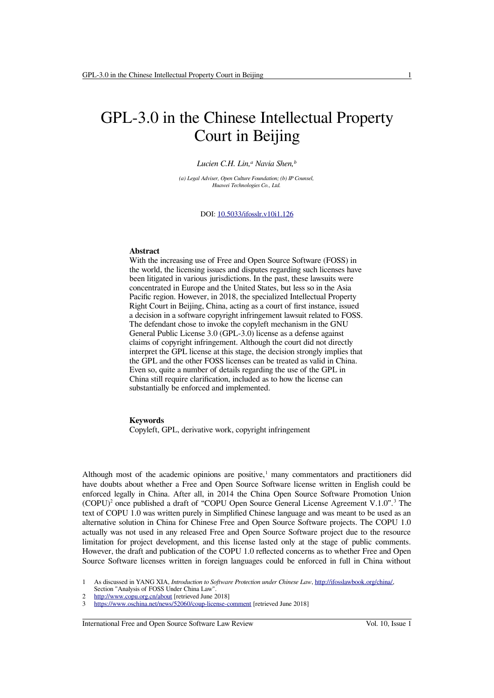# GPL-3.0 in the Chinese Intellectual Property Court in Beijing

#### *Lucien C.H. Lin,<sup>a</sup> Navia Shen,<sup>b</sup>*

*(a) Legal Adviser, Open Culture Foundation; (b) IP Counsel, Huawei Technologies Co., Ltd.*

DOI: 10.5033/ifosslr.v10i1.126

#### **Abstract**

With the increasing use of Free and Open Source Software (FOSS) in the world, the licensing issues and disputes regarding such licenses have been litigated in various jurisdictions. In the past, these lawsuits were concentrated in Europe and the United States, but less so in the Asia Pacific region. However, in 2018, the specialized Intellectual Property Right Court in Beijing, China, acting as a court of first instance, issued a decision in a software copyright infringement lawsuit related to FOSS. The defendant chose to invoke the copyleft mechanism in the GNU General Public License 3.0 (GPL-3.0) license as a defense against claims of copyright infringement. Although the court did not directly interpret the GPL license at this stage, the decision strongly implies that the GPL and the other FOSS licenses can be treated as valid in China. Even so, quite a number of details regarding the use of the GPL in China still require clarification, included as to how the license can substantially be enforced and implemented.

#### **Keywords**

Copyleft, GPL, derivative work, copyright infringement

Although most of the academic opinions are positive, $\frac{1}{1}$  $\frac{1}{1}$  $\frac{1}{1}$  many commentators and practitioners did have doubts about whether a Free and Open Source Software license written in English could be enforced legally in China. After all, in 2014 the China Open Source Software Promotion Union  $(COPU)^2$  $(COPU)^2$  once published a draft of "COPU Open Source General License Agreement V.1.0".<sup>[3](#page-0-2)</sup> The text of COPU 1.0 was written purely in Simplified Chinese language and was meant to be used as an alternative solution in China for Chinese Free and Open Source Software projects. The COPU 1.0 actually was not used in any released Free and Open Source Software project due to the resource limitation for project development, and this license lasted only at the stage of public comments. However, the draft and publication of the COPU 1.0 reflected concerns as to whether Free and Open Source Software licenses written in foreign languages could be enforced in full in China without

<span id="page-0-1"></span>2<http://www.copu.org.cn/about>[retrieved June 2018]

International Free and Open Source Software Law Review Vol. 10, Issue 1

<span id="page-0-0"></span><sup>1</sup> As discussed in YANG XIA, *Introduction to Software Protection under Chinese Law*, [http://ifosslawbook.org/china/,](http://ifosslawbook.org/china/) Section "Analysis of FOSS Under China Law

<span id="page-0-2"></span><https://www.oschina.net/news/52060/coup-license-comment>[retrieved June 2018]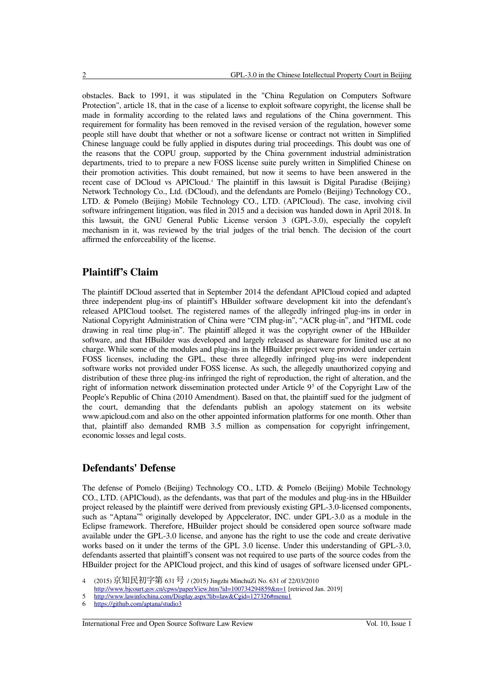obstacles. Back to 1991, it was stipulated in the "China Regulation on Computers Software Protection", article 18, that in the case of a license to exploit software copyright, the license shall be made in formality according to the related laws and regulations of the China government. This requirement for formality has been removed in the revised version of the regulation, however some people still have doubt that whether or not a software license or contract not written in Simplified Chinese language could be fully applied in disputes during trial proceedings. This doubt was one of the reasons that the COPU group, supported by the China government industrial administration departments, tried to to prepare a new FOSS license suite purely written in Simplified Chinese on their promotion activities. This doubt remained, but now it seems to have been answered in the recent case of DCloud vs APICloud.<sup>4</sup> The plaintiff in this lawsuit is Digital Paradise (Beijing) Network Technology Co., Ltd. (DCloud), and the defendants are Pomelo (Beijing) Technology CO., LTD. & Pomelo (Beijing) Mobile Technology CO., LTD. (APICloud). The case, involving civil software infringement litigation, was filed in 2015 and a decision was handed down in April 2018. In this lawsuit, the GNU General Public License version 3 (GPL-3.0), especially the copyleft mechanism in it, was reviewed by the trial judges of the trial bench. The decision of the court affirmed the enforceability of the license.

## **Plaintiff's Claim**

The plaintiff DCloud asserted that in September 2014 the defendant APICloud copied and adapted three independent plug-ins of plaintiff's HBuilder software development kit into the defendant's released APICloud toolset. The registered names of the allegedly infringed plug-ins in order in National Copyright Administration of China were "CIM plug-in", "ACR plug-in", and "HTML code drawing in real time plug-in". The plaintiff alleged it was the copyright owner of the HBuilder software, and that HBuilder was developed and largely released as shareware for limited use at no charge. While some of the modules and plug-ins in the HBuilder project were provided under certain FOSS licenses, including the GPL, these three allegedly infringed plug-ins were independent software works not provided under FOSS license. As such, the allegedly unauthorized copying and distribution of these three plug-ins infringed the right of reproduction, the right of alteration, and the right of information network dissemination protected under Article  $9<sup>5</sup>$  $9<sup>5</sup>$  $9<sup>5</sup>$  of the Copyright Law of the People's Republic of China (2010 Amendment). Based on that, the plaintiff sued for the judgment of the court, demanding that the defendants publish an apology statement on its website www.apicloud.com and also on the other appointed information platforms for one month. Other than that, plaintiff also demanded RMB 3.5 million as compensation for copyright infringement, economic losses and legal costs.

## **Defendants' Defense**

The defense of Pomelo (Beijing) Technology CO., LTD. & Pomelo (Beijing) Mobile Technology CO., LTD. (APICloud), as the defendants, was that part of the modules and plug-ins in the HBuilder project released by the plaintiff were derived from previously existing GPL-3.0-licensed components, such as "Aptana"<sup>[6](#page-1-2)</sup> originally developed by Appcelerator, INC. under GPL-3.0 as a module in the Eclipse framework. Therefore, HBuilder project should be considered open source software made available under the GPL-3.0 license, and anyone has the right to use the code and create derivative works based on it under the terms of the GPL 3.0 license. Under this understanding of GPL-3.0, defendants asserted that plaintiff's consent was not required to use parts of the source codes from the HBuilder project for the APICloud project, and this kind of usages of software licensed under GPL-

<span id="page-1-1"></span>5<http://www.lawinfochina.com/Display.aspx?lib=law&Cgid=127326#menu1>

<span id="page-1-0"></span><sup>4</sup> (2015) 京知民初字第 631号 / (2015) Jingzhi MinchuZi No. 631 of 22/03/2010 <http://www.bjcourt.gov.cn/cpws/paperView.htm?id=100734294859&n=1>[retrieved Jan. 2019]

<span id="page-1-2"></span><sup>6</sup> <https://github.com/aptana/studio3>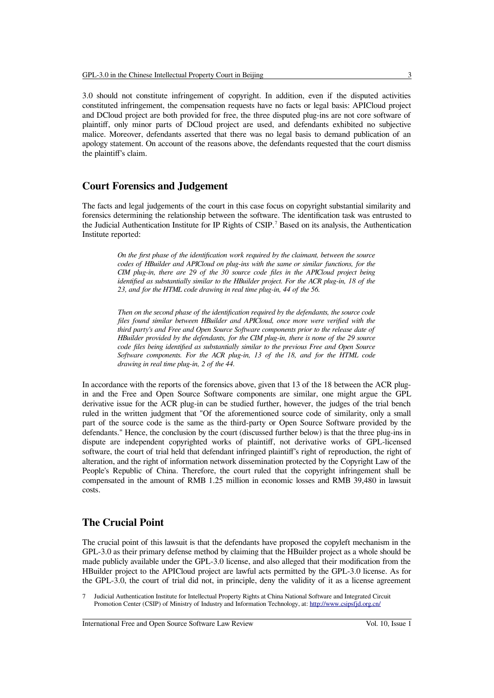3.0 should not constitute infringement of copyright. In addition, even if the disputed activities constituted infringement, the compensation requests have no facts or legal basis: APICloud project and DCloud project are both provided for free, the three disputed plug-ins are not core software of plaintiff, only minor parts of DCloud project are used, and defendants exhibited no subjective malice. Moreover, defendants asserted that there was no legal basis to demand publication of an apology statement. On account of the reasons above, the defendants requested that the court dismiss the plaintiff's claim.

#### **Court Forensics and Judgement**

The facts and legal judgements of the court in this case focus on copyright substantial similarity and forensics determining the relationship between the software. The identification task was entrusted to the Judicial Authentication Institute for IP Rights of CSIP.<sup>[7](#page-2-0)</sup> Based on its analysis, the Authentication Institute reported:

> *On the first phase of the identification work required by the claimant, between the source codes of HBuilder and APICloud on plug-ins with the same or similar functions, for the CIM plug-in, there are 29 of the 30 source code files in the APICloud project being identified as substantially similar to the HBuilder project. For the ACR plug-in, 18 of the 23, and for the HTML code drawing in real time plug-in, 44 of the 56.*

> *Then on the second phase of the identification required by the defendants, the source code files found similar between HBuilder and APICloud, once more were verified with the third party's and Free and Open Source Software components prior to the release date of HBuilder provided by the defendants, for the CIM plug-in, there is none of the 29 source code files being identified as substantially similar to the previous Free and Open Source Software components. For the ACR plug-in, 13 of the 18, and for the HTML code drawing in real time plug-in, 2 of the 44.*

In accordance with the reports of the forensics above, given that 13 of the 18 between the ACR plugin and the Free and Open Source Software components are similar, one might argue the GPL derivative issue for the ACR plug-in can be studied further, however, the judges of the trial bench ruled in the written judgment that "Of the aforementioned source code of similarity, only a small part of the source code is the same as the third-party or Open Source Software provided by the defendants." Hence, the conclusion by the court (discussed further below) is that the three plug-ins in dispute are independent copyrighted works of plaintiff, not derivative works of GPL-licensed software, the court of trial held that defendant infringed plaintiff's right of reproduction, the right of alteration, and the right of information network dissemination protected by the Copyright Law of the People's Republic of China. Therefore, the court ruled that the copyright infringement shall be compensated in the amount of RMB 1.25 million in economic losses and RMB 39,480 in lawsuit costs.

# **The Crucial Point**

The crucial point of this lawsuit is that the defendants have proposed the copyleft mechanism in the GPL-3.0 as their primary defense method by claiming that the HBuilder project as a whole should be made publicly available under the GPL-3.0 license, and also alleged that their modification from the HBuilder project to the APICloud project are lawful acts permitted by the GPL-3.0 license. As for the GPL-3.0, the court of trial did not, in principle, deny the validity of it as a license agreement

International Free and Open Source Software Law Review Vol. 10, Issue 1

<span id="page-2-0"></span><sup>7</sup> Judicial Authentication Institute for Intellectual Property Rights at China National Software and Integrated Circuit Promotion Center (CSIP) of Ministry of Industry and Information Technology, at:<http://www.csipsfjd.org.cn/>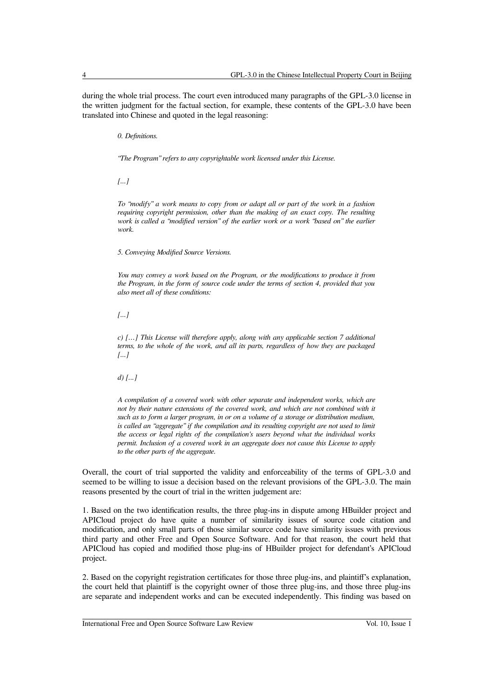during the whole trial process. The court even introduced many paragraphs of the GPL-3.0 license in the written judgment for the factual section, for example, these contents of the GPL-3.0 have been translated into Chinese and quoted in the legal reasoning:

*0. Definitions.*

*"The Program" refers to any copyrightable work licensed under this License.*

*[...]*

*To "modify" a work means to copy from or adapt all or part of the work in a fashion requiring copyright permission, other than the making of an exact copy. The resulting work is called a "modified version" of the earlier work or a work "based on" the earlier work.*

*5. Conveying Modified Source Versions.*

*You may convey a work based on the Program, or the modifications to produce it from the Program, in the form of source code under the terms of section 4, provided that you also meet all of these conditions:*

*[...]*

*c) […] This License will therefore apply, along with any applicable section 7 additional terms, to the whole of the work, and all its parts, regardless of how they are packaged [...]*

*d) [...]*

*A compilation of a covered work with other separate and independent works, which are not by their nature extensions of the covered work, and which are not combined with it such as to form a larger program, in or on a volume of a storage or distribution medium, is called an "aggregate" if the compilation and its resulting copyright are not used to limit the access or legal rights of the compilation's users beyond what the individual works permit. Inclusion of a covered work in an aggregate does not cause this License to apply to the other parts of the aggregate.*

Overall, the court of trial supported the validity and enforceability of the terms of GPL-3.0 and seemed to be willing to issue a decision based on the relevant provisions of the GPL-3.0. The main reasons presented by the court of trial in the written judgement are:

1. Based on the two identification results, the three plug-ins in dispute among HBuilder project and APICloud project do have quite a number of similarity issues of source code citation and modification, and only small parts of those similar source code have similarity issues with previous third party and other Free and Open Source Software. And for that reason, the court held that APICloud has copied and modified those plug-ins of HBuilder project for defendant's APICloud project.

2. Based on the copyright registration certificates for those three plug-ins, and plaintiff's explanation, the court held that plaintiff is the copyright owner of those three plug-ins, and those three plug-ins are separate and independent works and can be executed independently. This finding was based on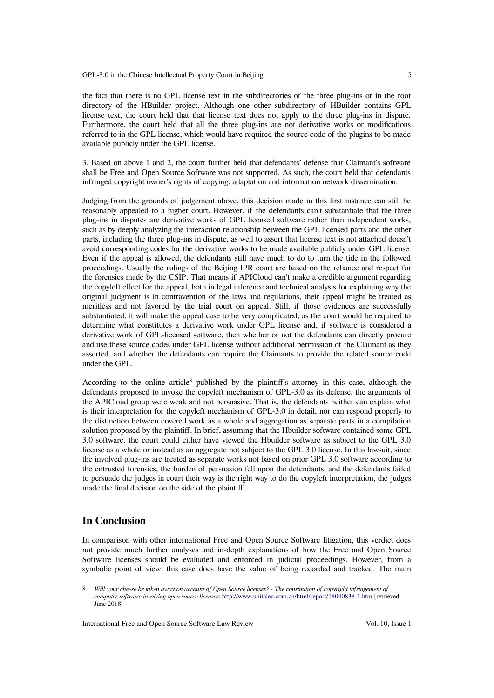the fact that there is no GPL license text in the subdirectories of the three plug-ins or in the root directory of the HBuilder project. Although one other subdirectory of HBuilder contains GPL license text, the court held that that license text does not apply to the three plug-ins in dispute. Furthermore, the court held that all the three plug-ins are not derivative works or modifications referred to in the GPL license, which would have required the source code of the plugins to be made available publicly under the GPL license.

3. Based on above 1 and 2, the court further held that defendants' defense that Claimant's software shall be Free and Open Source Software was not supported. As such, the court held that defendants infringed copyright owner's rights of copying, adaptation and information network dissemination.

Judging from the grounds of judgement above, this decision made in this first instance can still be reasonably appealed to a higher court. However, if the defendants can't substantiate that the three plug-ins in disputes are derivative works of GPL licensed software rather than independent works, such as by deeply analyzing the interaction relationship between the GPL licensed parts and the other parts, including the three plug-ins in dispute, as well to assert that license text is not attached doesn't avoid corresponding codes for the derivative works to be made available publicly under GPL license. Even if the appeal is allowed, the defendants still have much to do to turn the tide in the followed proceedings. Usually the rulings of the Beijing IPR court are based on the reliance and respect for the forensics made by the CSIP. That means if APICloud can't make a credible argument regarding the copyleft effect for the appeal, both in legal inference and technical analysis for explaining why the original judgment is in contravention of the laws and regulations, their appeal might be treated as meritless and not favored by the trial court on appeal. Still, if those evidences are successfully substantiated, it will make the appeal case to be very complicated, as the court would be required to determine what constitutes a derivative work under GPL license and, if software is considered a derivative work of GPL-licensed software, then whether or not the defendants can directly procure and use these source codes under GPL license without additional permission of the Claimant as they asserted, and whether the defendants can require the Claimants to provide the related source code under the GPL.

According to the online article<sup>[8](#page-4-0)</sup> published by the plaintiff's attorney in this case, although the defendants proposed to invoke the copyleft mechanism of GPL-3.0 as its defense, the arguments of the APICloud group were weak and not persuasive. That is, the defendants neither can explain what is their interpretation for the copyleft mechanism of GPL-3.0 in detail, nor can respond properly to the distinction between covered work as a whole and aggregation as separate parts in a compilation solution proposed by the plaintiff. In brief, assuming that the Hbuilder software contained some GPL 3.0 software, the court could either have viewed the Hbuilder software as subject to the GPL 3.0 license as a whole or instead as an aggregate not subject to the GPL 3.0 license. In this lawsuit, since the involved plug-ins are treated as separate works not based on prior GPL 3.0 software according to the entrusted forensics, the burden of persuasion fell upon the defendants, and the defendants failed to persuade the judges in court their way is the right way to do the copyleft interpretation, the judges made the final decision on the side of the plaintiff.

# **In Conclusion**

In comparison with other international Free and Open Source Software litigation, this verdict does not provide much further analyses and in-depth explanations of how the Free and Open Source Software licenses should be evaluated and enforced in judicial proceedings. However, from a symbolic point of view, this case does have the value of being recorded and tracked. The main

<span id="page-4-0"></span><sup>8</sup> *Will your cheese be taken away on account of Open Source licenses? - The constitution of copyright infringement of computer software involving open source licenses*:<http://www.unitalen.com.cn/html/report/18040838-1.htm>[retrieved June 2018]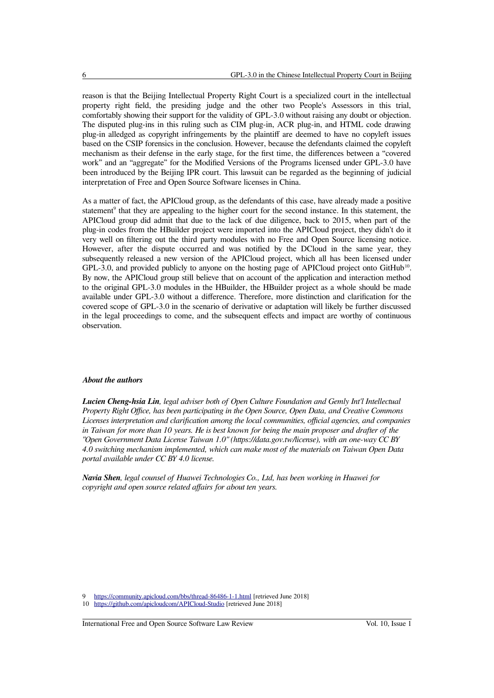reason is that the Beijing Intellectual Property Right Court is a specialized court in the intellectual property right field, the presiding judge and the other two People's Assessors in this trial, comfortably showing their support for the validity of GPL-3.0 without raising any doubt or objection. The disputed plug-ins in this ruling such as CIM plug-in, ACR plug-in, and HTML code drawing plug-in alledged as copyright infringements by the plaintiff are deemed to have no copyleft issues based on the CSIP forensics in the conclusion. However, because the defendants claimed the copyleft mechanism as their defense in the early stage, for the first time, the differences between a "covered work" and an "aggregate" for the Modified Versions of the Programs licensed under GPL-3.0 have been introduced by the Beijing IPR court. This lawsuit can be regarded as the beginning of judicial interpretation of Free and Open Source Software licenses in China.

As a matter of fact, the APICloud group, as the defendants of this case, have already made a positive statement<sup>[9](#page-5-0)</sup> that they are appealing to the higher court for the second instance. In this statement, the APICloud group did admit that due to the lack of due diligence, back to 2015, when part of the plug-in codes from the HBuilder project were imported into the APICloud project, they didn't do it very well on filtering out the third party modules with no Free and Open Source licensing notice. However, after the dispute occurred and was notified by the DCloud in the same year, they subsequently released a new version of the APICloud project, which all has been licensed under GPL-3.0, and provided publicly to anyone on the hosting page of APICloud project onto GitHub<sup>[10](#page-5-1)</sup>. By now, the APICloud group still believe that on account of the application and interaction method to the original GPL-3.0 modules in the HBuilder, the HBuilder project as a whole should be made available under GPL-3.0 without a difference. Therefore, more distinction and clarification for the covered scope of GPL-3.0 in the scenario of derivative or adaptation will likely be further discussed in the legal proceedings to come, and the subsequent effects and impact are worthy of continuous observation.

#### *About the authors*

*Lucien Cheng-hsia Lin, legal adviser both of Open Culture Foundation and Gemly Int'l Intellectual Property Right Office, has been participating in the Open Source, Open Data, and Creative Commons Licenses interpretation and clarification among the local communities, official agencies, and companies in Taiwan for more than 10 years. He is best known for being the main proposer and drafter of the "Open Government Data License Taiwan 1.0" (https://data.gov.tw/license), with an one-way CC BY 4.0 switching mechanism implemented, which can make most of the materials on Taiwan Open Data portal available under CC BY 4.0 license.*

*Navia Shen, legal counsel of Huawei Technologies Co., Ltd, has been working in Huawei for copyright and open source related affairs for about ten years.*

International Free and Open Source Software Law Review Vol. 10, Issue 1

<span id="page-5-0"></span>https://community.apicloud.com/bbs/thread-86486-1-1.html [retrieved June 2018]

<span id="page-5-1"></span><sup>10</sup> <https://github.com/apicloudcom/APICloud-Studio>[retrieved June 2018]